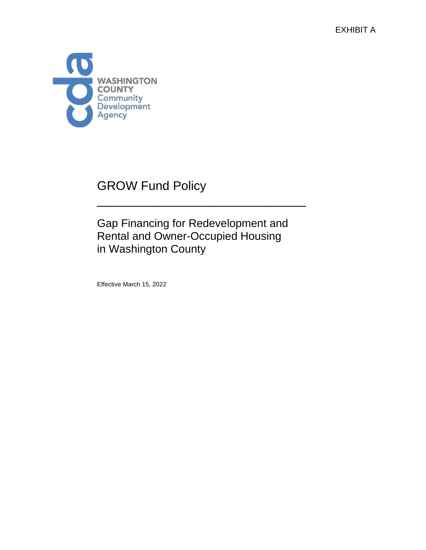EXHIBIT A



# GROW Fund Policy

# Gap Financing for Redevelopment and Rental and Owner-Occupied Housing in Washington County

\_\_\_\_\_\_\_\_\_\_\_\_\_\_\_\_\_\_\_\_\_\_\_\_\_\_\_\_\_\_

Effective March 15, 2022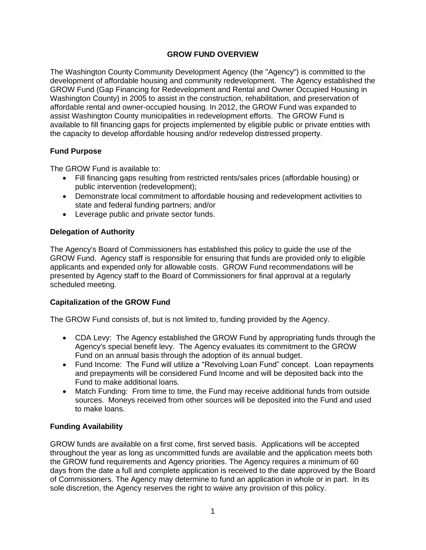# **GROW FUND OVERVIEW**

The Washington County Community Development Agency (the "Agency") is committed to the development of affordable housing and community redevelopment. The Agency established the GROW Fund (Gap Financing for Redevelopment and Rental and Owner Occupied Housing in Washington County) in 2005 to assist in the construction, rehabilitation, and preservation of affordable rental and owner-occupied housing. In 2012, the GROW Fund was expanded to assist Washington County municipalities in redevelopment efforts. The GROW Fund is available to fill financing gaps for projects implemented by eligible public or private entities with the capacity to develop affordable housing and/or redevelop distressed property.

# **Fund Purpose**

The GROW Fund is available to:

- Fill financing gaps resulting from restricted rents/sales prices (affordable housing) or public intervention (redevelopment);
- Demonstrate local commitment to affordable housing and redevelopment activities to state and federal funding partners; and/or
- Leverage public and private sector funds.

# **Delegation of Authority**

The Agency's Board of Commissioners has established this policy to guide the use of the GROW Fund. Agency staff is responsible for ensuring that funds are provided only to eligible applicants and expended only for allowable costs. GROW Fund recommendations will be presented by Agency staff to the Board of Commissioners for final approval at a regularly scheduled meeting.

# **Capitalization of the GROW Fund**

The GROW Fund consists of, but is not limited to, funding provided by the Agency.

- CDA Levy: The Agency established the GROW Fund by appropriating funds through the Agency's special benefit levy. The Agency evaluates its commitment to the GROW Fund on an annual basis through the adoption of its annual budget.
- Fund Income: The Fund will utilize a "Revolving Loan Fund" concept. Loan repayments and prepayments will be considered Fund Income and will be deposited back into the Fund to make additional loans.
- Match Funding: From time to time, the Fund may receive additional funds from outside sources. Moneys received from other sources will be deposited into the Fund and used to make loans.

# **Funding Availability**

GROW funds are available on a first come, first served basis. Applications will be accepted throughout the year as long as uncommitted funds are available and the application meets both the GROW fund requirements and Agency priorities. The Agency requires a minimum of 60 days from the date a full and complete application is received to the date approved by the Board of Commissioners. The Agency may determine to fund an application in whole or in part. In its sole discretion, the Agency reserves the right to waive any provision of this policy.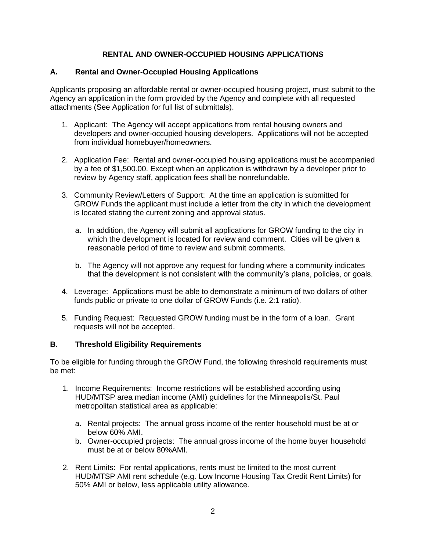# **RENTAL AND OWNER-OCCUPIED HOUSING APPLICATIONS**

#### **A. Rental and Owner-Occupied Housing Applications**

Applicants proposing an affordable rental or owner-occupied housing project, must submit to the Agency an application in the form provided by the Agency and complete with all requested attachments (See Application for full list of submittals).

- 1. Applicant: The Agency will accept applications from rental housing owners and developers and owner-occupied housing developers. Applications will not be accepted from individual homebuyer/homeowners.
- 2. Application Fee: Rental and owner-occupied housing applications must be accompanied by a fee of \$1,500.00. Except when an application is withdrawn by a developer prior to review by Agency staff, application fees shall be nonrefundable.
- 3. Community Review/Letters of Support: At the time an application is submitted for GROW Funds the applicant must include a letter from the city in which the development is located stating the current zoning and approval status.
	- a. In addition, the Agency will submit all applications for GROW funding to the city in which the development is located for review and comment. Cities will be given a reasonable period of time to review and submit comments.
	- b. The Agency will not approve any request for funding where a community indicates that the development is not consistent with the community's plans, policies, or goals.
- 4. Leverage: Applications must be able to demonstrate a minimum of two dollars of other funds public or private to one dollar of GROW Funds (i.e. 2:1 ratio).
- 5. Funding Request: Requested GROW funding must be in the form of a loan. Grant requests will not be accepted.

# **B. Threshold Eligibility Requirements**

To be eligible for funding through the GROW Fund, the following threshold requirements must be met:

- 1. Income Requirements: Income restrictions will be established according using HUD/MTSP area median income (AMI) guidelines for the Minneapolis/St. Paul metropolitan statistical area as applicable:
	- a. Rental projects: The annual gross income of the renter household must be at or below 60% AMI.
	- b. Owner-occupied projects: The annual gross income of the home buyer household must be at or below 80%AMI.
- 2. Rent Limits: For rental applications, rents must be limited to the most current HUD/MTSP AMI rent schedule (e.g. Low Income Housing Tax Credit Rent Limits) for 50% AMI or below, less applicable utility allowance.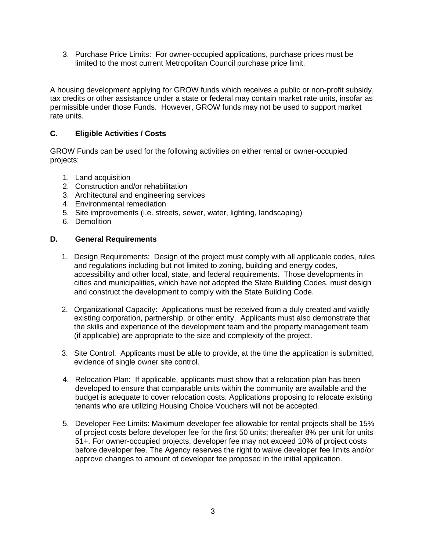3. Purchase Price Limits: For owner-occupied applications, purchase prices must be limited to the most current Metropolitan Council purchase price limit.

A housing development applying for GROW funds which receives a public or non-profit subsidy, tax credits or other assistance under a state or federal may contain market rate units, insofar as permissible under those Funds. However, GROW funds may not be used to support market rate units.

# **C. Eligible Activities / Costs**

GROW Funds can be used for the following activities on either rental or owner-occupied projects:

- 1. Land acquisition
- 2. Construction and/or rehabilitation
- 3. Architectural and engineering services
- 4. Environmental remediation
- 5. Site improvements (i.e. streets, sewer, water, lighting, landscaping)
- 6. Demolition

#### **D. General Requirements**

- 1. Design Requirements: Design of the project must comply with all applicable codes, rules and regulations including but not limited to zoning, building and energy codes, accessibility and other local, state, and federal requirements. Those developments in cities and municipalities, which have not adopted the State Building Codes, must design and construct the development to comply with the State Building Code.
- 2. Organizational Capacity: Applications must be received from a duly created and validly existing corporation, partnership, or other entity. Applicants must also demonstrate that the skills and experience of the development team and the property management team (if applicable) are appropriate to the size and complexity of the project.
- 3. Site Control: Applicants must be able to provide, at the time the application is submitted, evidence of single owner site control.
- 4. Relocation Plan: If applicable, applicants must show that a relocation plan has been developed to ensure that comparable units within the community are available and the budget is adequate to cover relocation costs. Applications proposing to relocate existing tenants who are utilizing Housing Choice Vouchers will not be accepted.
- 5. Developer Fee Limits: Maximum developer fee allowable for rental projects shall be 15% of project costs before developer fee for the first 50 units; thereafter 8% per unit for units 51+. For owner-occupied projects, developer fee may not exceed 10% of project costs before developer fee. The Agency reserves the right to waive developer fee limits and/or approve changes to amount of developer fee proposed in the initial application.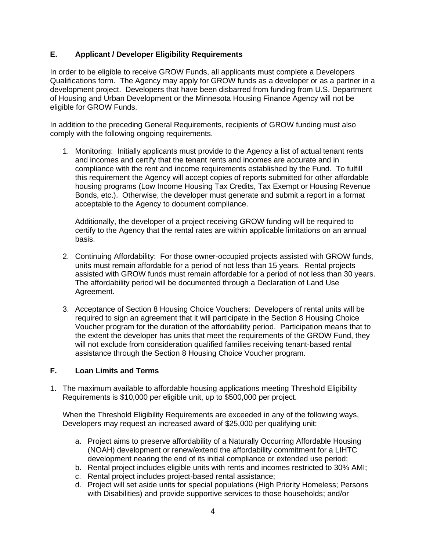# **E. Applicant / Developer Eligibility Requirements**

In order to be eligible to receive GROW Funds, all applicants must complete a Developers Qualifications form. The Agency may apply for GROW funds as a developer or as a partner in a development project. Developers that have been disbarred from funding from U.S. Department of Housing and Urban Development or the Minnesota Housing Finance Agency will not be eligible for GROW Funds.

In addition to the preceding General Requirements, recipients of GROW funding must also comply with the following ongoing requirements.

1. Monitoring: Initially applicants must provide to the Agency a list of actual tenant rents and incomes and certify that the tenant rents and incomes are accurate and in compliance with the rent and income requirements established by the Fund. To fulfill this requirement the Agency will accept copies of reports submitted for other affordable housing programs (Low Income Housing Tax Credits, Tax Exempt or Housing Revenue Bonds, etc.). Otherwise, the developer must generate and submit a report in a format acceptable to the Agency to document compliance.

Additionally, the developer of a project receiving GROW funding will be required to certify to the Agency that the rental rates are within applicable limitations on an annual basis.

- 2. Continuing Affordability: For those owner-occupied projects assisted with GROW funds, units must remain affordable for a period of not less than 15 years. Rental projects assisted with GROW funds must remain affordable for a period of not less than 30 years. The affordability period will be documented through a Declaration of Land Use Agreement.
- 3. Acceptance of Section 8 Housing Choice Vouchers: Developers of rental units will be required to sign an agreement that it will participate in the Section 8 Housing Choice Voucher program for the duration of the affordability period. Participation means that to the extent the developer has units that meet the requirements of the GROW Fund, they will not exclude from consideration qualified families receiving tenant-based rental assistance through the Section 8 Housing Choice Voucher program.

# **F. Loan Limits and Terms**

1. The maximum available to affordable housing applications meeting Threshold Eligibility Requirements is \$10,000 per eligible unit, up to \$500,000 per project.

When the Threshold Eligibility Requirements are exceeded in any of the following ways, Developers may request an increased award of \$25,000 per qualifying unit:

- a. Project aims to preserve affordability of a Naturally Occurring Affordable Housing (NOAH) development or renew/extend the affordability commitment for a LIHTC development nearing the end of its initial compliance or extended use period;
- b. Rental project includes eligible units with rents and incomes restricted to 30% AMI;
- c. Rental project includes project-based rental assistance;
- d. Project will set aside units for special populations (High Priority Homeless; Persons with Disabilities) and provide supportive services to those households; and/or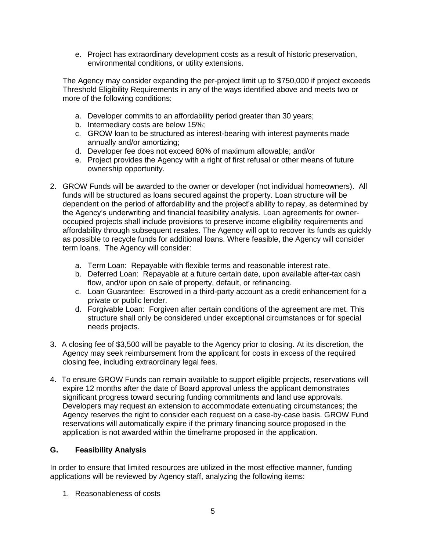e. Project has extraordinary development costs as a result of historic preservation, environmental conditions, or utility extensions.

The Agency may consider expanding the per-project limit up to \$750,000 if project exceeds Threshold Eligibility Requirements in any of the ways identified above and meets two or more of the following conditions:

- a. Developer commits to an affordability period greater than 30 years;
- b. Intermediary costs are below 15%;
- c. GROW loan to be structured as interest-bearing with interest payments made annually and/or amortizing;
- d. Developer fee does not exceed 80% of maximum allowable; and/or
- e. Project provides the Agency with a right of first refusal or other means of future ownership opportunity.
- 2. GROW Funds will be awarded to the owner or developer (not individual homeowners). All funds will be structured as loans secured against the property. Loan structure will be dependent on the period of affordability and the project's ability to repay, as determined by the Agency's underwriting and financial feasibility analysis. Loan agreements for owneroccupied projects shall include provisions to preserve income eligibility requirements and affordability through subsequent resales. The Agency will opt to recover its funds as quickly as possible to recycle funds for additional loans. Where feasible, the Agency will consider term loans. The Agency will consider:
	- a. Term Loan: Repayable with flexible terms and reasonable interest rate.
	- b. Deferred Loan: Repayable at a future certain date, upon available after-tax cash flow, and/or upon on sale of property, default, or refinancing.
	- c. Loan Guarantee: Escrowed in a third-party account as a credit enhancement for a private or public lender.
	- d. Forgivable Loan: Forgiven after certain conditions of the agreement are met. This structure shall only be considered under exceptional circumstances or for special needs projects.
- 3. A closing fee of \$3,500 will be payable to the Agency prior to closing. At its discretion, the Agency may seek reimbursement from the applicant for costs in excess of the required closing fee, including extraordinary legal fees.
- 4. To ensure GROW Funds can remain available to support eligible projects, reservations will expire 12 months after the date of Board approval unless the applicant demonstrates significant progress toward securing funding commitments and land use approvals. Developers may request an extension to accommodate extenuating circumstances; the Agency reserves the right to consider each request on a case-by-case basis. GROW Fund reservations will automatically expire if the primary financing source proposed in the application is not awarded within the timeframe proposed in the application.

# **G. Feasibility Analysis**

In order to ensure that limited resources are utilized in the most effective manner, funding applications will be reviewed by Agency staff, analyzing the following items:

1. Reasonableness of costs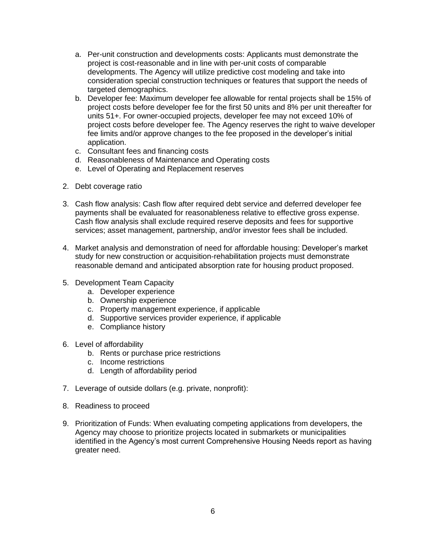- a. Per-unit construction and developments costs: Applicants must demonstrate the project is cost-reasonable and in line with per-unit costs of comparable developments. The Agency will utilize predictive cost modeling and take into consideration special construction techniques or features that support the needs of targeted demographics.
- b. Developer fee: Maximum developer fee allowable for rental projects shall be 15% of project costs before developer fee for the first 50 units and 8% per unit thereafter for units 51+. For owner-occupied projects, developer fee may not exceed 10% of project costs before developer fee. The Agency reserves the right to waive developer fee limits and/or approve changes to the fee proposed in the developer's initial application.
- c. Consultant fees and financing costs
- d. Reasonableness of Maintenance and Operating costs
- e. Level of Operating and Replacement reserves
- 2. Debt coverage ratio
- 3. Cash flow analysis: Cash flow after required debt service and deferred developer fee payments shall be evaluated for reasonableness relative to effective gross expense. Cash flow analysis shall exclude required reserve deposits and fees for supportive services; asset management, partnership, and/or investor fees shall be included.
- 4. Market analysis and demonstration of need for affordable housing: Developer's market study for new construction or acquisition-rehabilitation projects must demonstrate reasonable demand and anticipated absorption rate for housing product proposed.
- 5. Development Team Capacity
	- a. Developer experience
	- b. Ownership experience
	- c. Property management experience, if applicable
	- d. Supportive services provider experience, if applicable
	- e. Compliance history
- 6. Level of affordability
	- b. Rents or purchase price restrictions
	- c. Income restrictions
	- d. Length of affordability period
- 7. Leverage of outside dollars (e.g. private, nonprofit):
- 8. Readiness to proceed
- 9. Prioritization of Funds: When evaluating competing applications from developers, the Agency may choose to prioritize projects located in submarkets or municipalities identified in the Agency's most current Comprehensive Housing Needs report as having greater need.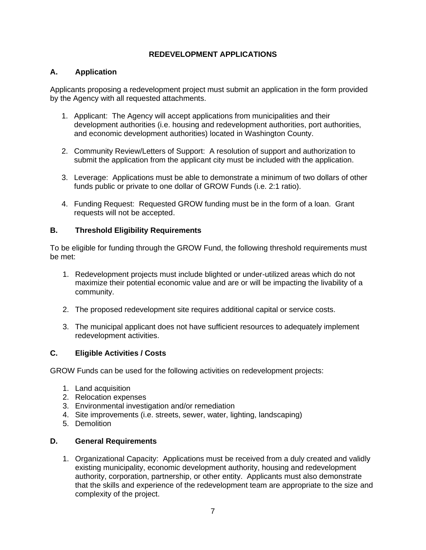# **REDEVELOPMENT APPLICATIONS**

# **A. Application**

Applicants proposing a redevelopment project must submit an application in the form provided by the Agency with all requested attachments.

- 1. Applicant: The Agency will accept applications from municipalities and their development authorities (i.e. housing and redevelopment authorities, port authorities, and economic development authorities) located in Washington County.
- 2. Community Review/Letters of Support: A resolution of support and authorization to submit the application from the applicant city must be included with the application.
- 3. Leverage: Applications must be able to demonstrate a minimum of two dollars of other funds public or private to one dollar of GROW Funds (i.e. 2:1 ratio).
- 4. Funding Request: Requested GROW funding must be in the form of a loan. Grant requests will not be accepted.

# **B. Threshold Eligibility Requirements**

To be eligible for funding through the GROW Fund, the following threshold requirements must be met:

- 1. Redevelopment projects must include blighted or under-utilized areas which do not maximize their potential economic value and are or will be impacting the livability of a community.
- 2. The proposed redevelopment site requires additional capital or service costs.
- 3. The municipal applicant does not have sufficient resources to adequately implement redevelopment activities.

# **C. Eligible Activities / Costs**

GROW Funds can be used for the following activities on redevelopment projects:

- 1. Land acquisition
- 2. Relocation expenses
- 3. Environmental investigation and/or remediation
- 4. Site improvements (i.e. streets, sewer, water, lighting, landscaping)
- 5. Demolition

# **D. General Requirements**

1. Organizational Capacity: Applications must be received from a duly created and validly existing municipality, economic development authority, housing and redevelopment authority, corporation, partnership, or other entity. Applicants must also demonstrate that the skills and experience of the redevelopment team are appropriate to the size and complexity of the project.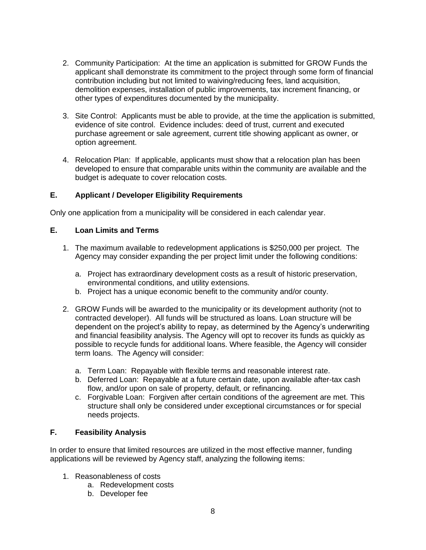- 2. Community Participation: At the time an application is submitted for GROW Funds the applicant shall demonstrate its commitment to the project through some form of financial contribution including but not limited to waiving/reducing fees, land acquisition, demolition expenses, installation of public improvements, tax increment financing, or other types of expenditures documented by the municipality.
- 3. Site Control: Applicants must be able to provide, at the time the application is submitted, evidence of site control. Evidence includes: deed of trust, current and executed purchase agreement or sale agreement, current title showing applicant as owner, or option agreement.
- 4. Relocation Plan: If applicable, applicants must show that a relocation plan has been developed to ensure that comparable units within the community are available and the budget is adequate to cover relocation costs.

# **E. Applicant / Developer Eligibility Requirements**

Only one application from a municipality will be considered in each calendar year.

# **E. Loan Limits and Terms**

- 1. The maximum available to redevelopment applications is \$250,000 per project. The Agency may consider expanding the per project limit under the following conditions:
	- a. Project has extraordinary development costs as a result of historic preservation, environmental conditions, and utility extensions.
	- b. Project has a unique economic benefit to the community and/or county.
- 2. GROW Funds will be awarded to the municipality or its development authority (not to contracted developer). All funds will be structured as loans. Loan structure will be dependent on the project's ability to repay, as determined by the Agency's underwriting and financial feasibility analysis. The Agency will opt to recover its funds as quickly as possible to recycle funds for additional loans. Where feasible, the Agency will consider term loans. The Agency will consider:
	- a. Term Loan: Repayable with flexible terms and reasonable interest rate.
	- b. Deferred Loan: Repayable at a future certain date, upon available after-tax cash flow, and/or upon on sale of property, default, or refinancing.
	- c. Forgivable Loan: Forgiven after certain conditions of the agreement are met. This structure shall only be considered under exceptional circumstances or for special needs projects.

# **F. Feasibility Analysis**

In order to ensure that limited resources are utilized in the most effective manner, funding applications will be reviewed by Agency staff, analyzing the following items:

- 1. Reasonableness of costs
	- a. Redevelopment costs
	- b. Developer fee